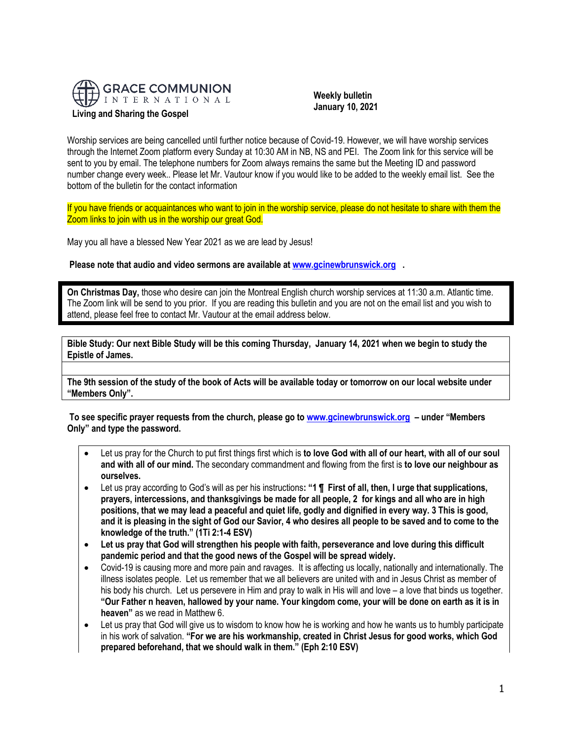

 **Weekly bulletin January 10, 2021**

Worship services are being cancelled until further notice because of Covid-19. However, we will have worship services through the Internet Zoom platform every Sunday at 10:30 AM in NB, NS and PEI. The Zoom link for this service will be sent to you by email. The telephone numbers for Zoom always remains the same but the Meeting ID and password number change every week.. Please let Mr. Vautour know if you would like to be added to the weekly email list. See the bottom of the bulletin for the contact information

If you have friends or acquaintances who want to join in the worship service, please do not hesitate to share with them the Zoom links to join with us in the worship our great God.

May you all have a blessed New Year 2021 as we are lead by Jesus!

**Please note that audio and video sermons are available at [www.gcinewbrunswick.org](http://www.gcinewbrunswick.org/) .** 

**On Christmas Day,** those who desire can join the Montreal English church worship services at 11:30 a.m. Atlantic time. The Zoom link will be send to you prior. If you are reading this bulletin and you are not on the email list and you wish to attend, please feel free to contact Mr. Vautour at the email address below.

**Bible Study: Our next Bible Study will be this coming Thursday, January 14, 2021 when we begin to study the Epistle of James.**

**The 9th session of the study of the book of Acts will be available today or tomorrow on our local website under "Members Only".**

**To see specific prayer requests from the church, please go t[o www.gcinewbrunswick.org](http://www.gcinewbrunswick.org/) – under "Members Only" and type the password.**

- Let us pray for the Church to put first things first which is **to love God with all of our heart, with all of our soul and with all of our mind.** The secondary commandment and flowing from the first is **to love our neighbour as ourselves.**
- Let us pray according to God's will as per his instructions**: "1 ¶ First of all, then, I urge that supplications, prayers, intercessions, and thanksgivings be made for all people, 2 for kings and all who are in high positions, that we may lead a peaceful and quiet life, godly and dignified in every way. 3 This is good, and it is pleasing in the sight of God our Savior, 4 who desires all people to be saved and to come to the knowledge of the truth." (1Ti 2:1-4 ESV)**
- **Let us pray that God will strengthen his people with faith, perseverance and love during this difficult pandemic period and that the good news of the Gospel will be spread widely.**
- Covid-19 is causing more and more pain and ravages. It is affecting us locally, nationally and internationally. The illness isolates people. Let us remember that we all believers are united with and in Jesus Christ as member of his body his church. Let us persevere in Him and pray to walk in His will and love – a love that binds us together. **"Our Father n heaven, hallowed by your name. Your kingdom come, your will be done on earth as it is in heaven"** as we read in Matthew 6.
- Let us pray that God will give us to wisdom to know how he is working and how he wants us to humbly participate in his work of salvation. **"For we are his workmanship, created in Christ Jesus for good works, which God prepared beforehand, that we should walk in them." (Eph 2:10 ESV)**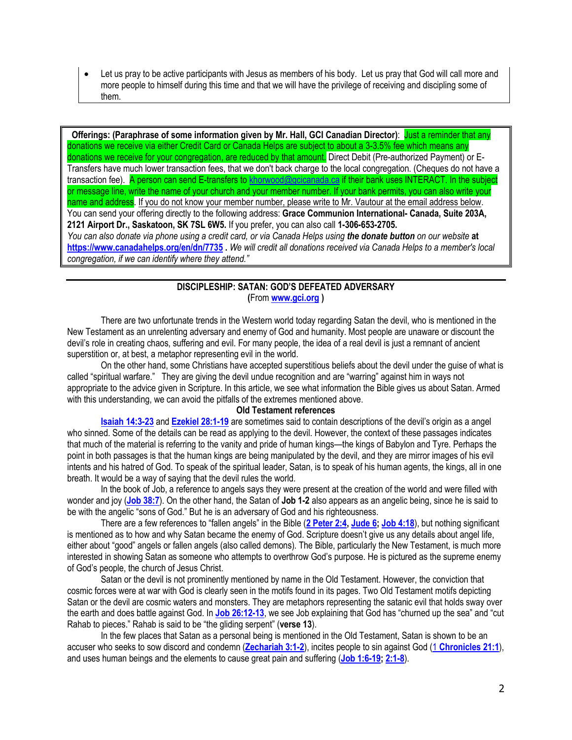• Let us pray to be active participants with Jesus as members of his body. Let us pray that God will call more and more people to himself during this time and that we will have the privilege of receiving and discipling some of them.

**Offerings: (Paraphrase of some information given by Mr. Hall, GCI Canadian Director)**: Just a reminder that any donations we receive via either Credit Card or Canada Helps are subject to about a 3-3.5% fee which means any donations we receive for your congregation, are reduced by that amount. Direct Debit (Pre-authorized Payment) or E-Transfers have much lower transaction fees, that we don't back charge to the local congregation. (Cheques do not have a transaction fee). A person can send E-transfers to [khorwood@gcicanada.ca](mailto:khorwood@gcicanada.ca) if their bank uses INTERACT. In the subject or message line, write the name of your church and your member number. If your bank permits, you can also write your name and address. If you do not know your member number, please write to Mr. Vautour at the email address below. You can send your offering directly to the following address: **Grace Communion International- Canada, Suite 203A, 2121 Airport Dr., Saskatoon, SK 7SL 6W5.** If you prefer, you can also call **1-306-653-2705.**  *You can also donate via phone using a credit card, or via Canada Helps using the donate button on our website* **at <https://www.canadahelps.org/en/dn/7735> .** *We will credit all donations received via Canada Helps to a member's local congregation, if we can identify where they attend."*

# **DISCIPLESHIP: SATAN: GOD'S DEFEATED ADVERSARY (**From **[www.gci.org](http://www.gci.org/) )**

There are two unfortunate trends in the Western world today regarding Satan the devil, who is mentioned in the New Testament as an unrelenting adversary and enemy of God and humanity. Most people are unaware or discount the devil's role in creating chaos, suffering and evil. For many people, the idea of a real devil is just a remnant of ancient superstition or, at best, a metaphor representing evil in the world.

On the other hand, some Christians have accepted superstitious beliefs about the devil under the guise of what is called "spiritual warfare." They are giving the devil undue recognition and are "warring" against him in ways not appropriate to the advice given in Scripture. In this article, we see what information the Bible gives us about Satan. Armed with this understanding, we can avoid the pitfalls of the extremes mentioned above.

## **Old Testament references**

**[Isaiah 14:3-23](https://biblia.com/bible/niv/Isa%2014.3-23)** and **[Ezekiel 28:1-19](https://biblia.com/bible/niv/Ezek%2028.1-19)** are sometimes said to contain descriptions of the devil's origin as a angel who sinned. Some of the details can be read as applying to the devil. However, the context of these passages indicates that much of the material is referring to the vanity and pride of human kings—the kings of Babylon and Tyre. Perhaps the point in both passages is that the human kings are being manipulated by the devil, and they are mirror images of his evil intents and his hatred of God. To speak of the spiritual leader, Satan, is to speak of his human agents, the kings, all in one breath. It would be a way of saying that the devil rules the world.

In the book of Job, a reference to angels says they were present at the creation of the world and were filled with wonder and joy (**[Job 38:7](https://biblia.com/bible/niv/Job%2038.7)**). On the other hand, the Satan of **Job 1-2** also appears as an angelic being, since he is said to be with the angelic "sons of God." But he is an adversary of God and his righteousness.

There are a few references to "fallen angels" in the Bible (**[2 Peter 2:4,](https://biblia.com/bible/niv/2%20Pet%202.4) [Jude 6;](https://biblia.com/bible/niv/Jude%206) [Job 4:18](https://biblia.com/bible/niv/Job%204.18)**), but nothing significant is mentioned as to how and why Satan became the enemy of God. Scripture doesn't give us any details about angel life, either about "good" angels or fallen angels (also called demons). The Bible, particularly the New Testament, is much more interested in showing Satan as someone who attempts to overthrow God's purpose. He is pictured as the supreme enemy of God's people, the church of Jesus Christ.

Satan or the devil is not prominently mentioned by name in the Old Testament. However, the conviction that cosmic forces were at war with God is clearly seen in the motifs found in its pages. Two Old Testament motifs depicting Satan or the devil are cosmic waters and monsters. They are metaphors representing the satanic evil that holds sway over the earth and does battle against God. In **[Job 26:12-13](https://biblia.com/bible/niv/Job%2026.12-13)**, we see Job explaining that God has "churned up the sea" and "cut Rahab to pieces." Rahab is said to be "the gliding serpent" (**verse 13**).

In the few places that Satan as a personal being is mentioned in the Old Testament, Satan is shown to be an accuser who seeks to sow discord and condemn (**[Zechariah 3:1-2](https://biblia.com/bible/niv/Zech%203.1-2)**), incites people to sin against God (1 **[Chronicles 21:1](https://biblia.com/bible/niv/1%20Chron%2021.1)**), and uses human beings and the elements to cause great pain and suffering (**[Job 1:6-19;](https://biblia.com/bible/niv/Job%201.6-19) [2:1-8](https://biblia.com/bible/niv/Job%202.1-8)**).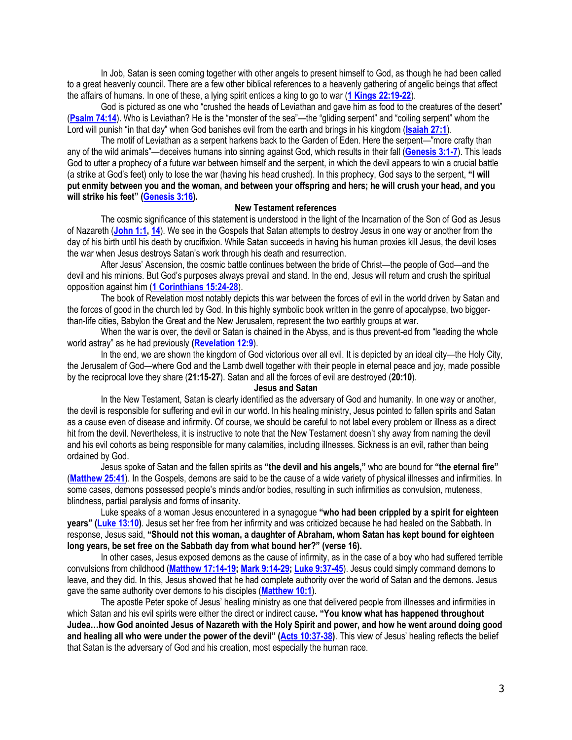In Job, Satan is seen coming together with other angels to present himself to God, as though he had been called to a great heavenly council. There are a few other biblical references to a heavenly gathering of angelic beings that affect the affairs of humans. In one of these, a lying spirit entices a king to go to war (**[1 Kings 22:19-22](https://biblia.com/bible/niv/1%20Kings%2022.19-22)**).

God is pictured as one who "crushed the heads of Leviathan and gave him as food to the creatures of the desert" (**[Psalm 74:14](https://biblia.com/bible/niv/Ps%2074.14)**). Who is Leviathan? He is the "monster of the sea"—the "gliding serpent" and "coiling serpent" whom the Lord will punish "in that day" when God banishes evil from the earth and brings in his kingdom (**[Isaiah 27:1](https://biblia.com/bible/niv/Isa%2027.1)**).

The motif of Leviathan as a serpent harkens back to the Garden of Eden. Here the serpent—"more crafty than any of the wild animals"—deceives humans into sinning against God, which results in their fall (**[Genesis 3:1-7](https://biblia.com/bible/niv/Gen%203.1-7)**). This leads God to utter a prophecy of a future war between himself and the serpent, in which the devil appears to win a crucial battle (a strike at God's feet) only to lose the war (having his head crushed). In this prophecy, God says to the serpent, **"I will put enmity between you and the woman, and between your offspring and hers; he will crush your head, and you will strike his feet" ([Genesis 3:16\)](https://biblia.com/bible/niv/Gen%203.16).**

### **New Testament references**

The cosmic significance of this statement is understood in the light of the Incarnation of the Son of God as Jesus of Nazareth (**[John 1:1,](https://biblia.com/bible/niv/John%201.1) [14](https://biblia.com/bible/niv/John%201.14)**). We see in the Gospels that Satan attempts to destroy Jesus in one way or another from the day of his birth until his death by crucifixion. While Satan succeeds in having his human proxies kill Jesus, the devil loses the war when Jesus destroys Satan's work through his death and resurrection.

After Jesus' Ascension, the cosmic battle continues between the bride of Christ—the people of God—and the devil and his minions. But God's purposes always prevail and stand. In the end, Jesus will return and crush the spiritual opposition against him (**[1 Corinthians 15:24-28](https://biblia.com/bible/niv/1%20Cor%2015.24-28)**).

The book of Revelation most notably depicts this war between the forces of evil in the world driven by Satan and the forces of good in the church led by God. In this highly symbolic book written in the genre of apocalypse, two biggerthan-life cities, Babylon the Great and the New Jerusalem, represent the two earthly groups at war.

When the war is over, the devil or Satan is chained in the Abyss, and is thus prevent-ed from "leading the whole world astray" as he had previously **[\(Revelation 12:9](https://biblia.com/bible/niv/Rev%2012.9)**).

In the end, we are shown the kingdom of God victorious over all evil. It is depicted by an ideal city—the Holy City, the Jerusalem of God—where God and the Lamb dwell together with their people in eternal peace and joy, made possible by the reciprocal love they share (**21:15-27**). Satan and all the forces of evil are destroyed (**20:10**).

### **Jesus and Satan**

In the New Testament, Satan is clearly identified as the adversary of God and humanity. In one way or another, the devil is responsible for suffering and evil in our world. In his healing ministry, Jesus pointed to fallen spirits and Satan as a cause even of disease and infirmity. Of course, we should be careful to not label every problem or illness as a direct hit from the devil. Nevertheless, it is instructive to note that the New Testament doesn't shy away from naming the devil and his evil cohorts as being responsible for many calamities, including illnesses. Sickness is an evil, rather than being ordained by God.

Jesus spoke of Satan and the fallen spirits as **"the devil and his angels,"** who are bound for **"the eternal fire"** (**[Matthew 25:41](https://biblia.com/bible/niv/Matt%2025.41)**). In the Gospels, demons are said to be the cause of a wide variety of physical illnesses and infirmities. In some cases, demons possessed people's minds and/or bodies, resulting in such infirmities as convulsion, muteness, blindness, partial paralysis and forms of insanity.

Luke speaks of a woman Jesus encountered in a synagogue **"who had been crippled by a spirit for eighteen years" ([Luke 13:10\)](https://biblia.com/bible/niv/Luke%2013.10)**. Jesus set her free from her infirmity and was criticized because he had healed on the Sabbath. In response, Jesus said, **"Should not this woman, a daughter of Abraham, whom Satan has kept bound for eighteen long years, be set free on the Sabbath day from what bound her?" (verse 16).**

In other cases, Jesus exposed demons as the cause of infirmity, as in the case of a boy who had suffered terrible convulsions from childhood (**[Matthew 17:14-19;](https://biblia.com/bible/niv/Matt%2017.14-19) [Mark 9:14-29;](https://biblia.com/bible/niv/Mark%209.14-29) [Luke 9:37-45](https://biblia.com/bible/niv/Luke%209.37-45)**). Jesus could simply command demons to leave, and they did. In this, Jesus showed that he had complete authority over the world of Satan and the demons. Jesus gave the same authority over demons to his disciples (**[Matthew 10:1](https://biblia.com/bible/niv/Matt%2010.1)**).

The apostle Peter spoke of Jesus' healing ministry as one that delivered people from illnesses and infirmities in which Satan and his evil spirits were either the direct or indirect cause**. "You know what has happened throughout Judea…how God anointed Jesus of Nazareth with the Holy Spirit and power, and how he went around doing good and healing all who were under the power of the devil" ([Acts 10:37-38\)](https://biblia.com/bible/niv/Acts%2010.37-38)**. This view of Jesus' healing reflects the belief that Satan is the adversary of God and his creation, most especially the human race.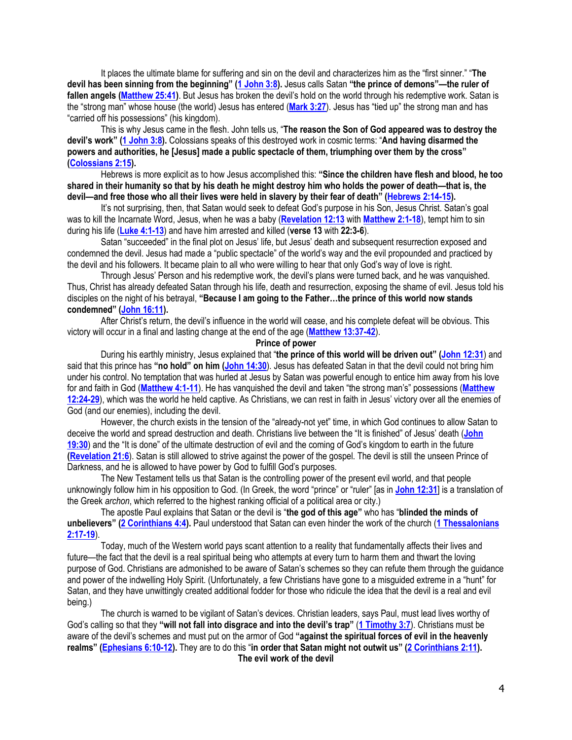It places the ultimate blame for suffering and sin on the devil and characterizes him as the "first sinner." "**The devil has been sinning from the beginning" ([1 John 3:8\)](https://biblia.com/bible/niv/1%20John%203.8).** Jesus calls Satan **"the prince of demons"—the ruler of fallen angels [\(Matthew 25:41\)](https://biblia.com/bible/niv/Matt%2025.41)**. But Jesus has broken the devil's hold on the world through his redemptive work. Satan is the "strong man" whose house (the world) Jesus has entered (**[Mark 3:27](https://biblia.com/bible/niv/Mark%203.27)**). Jesus has "tied up" the strong man and has "carried off his possessions" (his kingdom).

This is why Jesus came in the flesh. John tells us, "**The reason the Son of God appeared was to destroy the devil's work" ([1 John 3:8\)](https://biblia.com/bible/niv/1%20John%203.8).** Colossians speaks of this destroyed work in cosmic terms: "**And having disarmed the powers and authorities, he [Jesus] made a public spectacle of them, triumphing over them by the cross" [\(Colossians 2:15\)](https://biblia.com/bible/niv/Col%202.15).**

Hebrews is more explicit as to how Jesus accomplished this: **"Since the children have flesh and blood, he too shared in their humanity so that by his death he might destroy him who holds the power of death—that is, the devil—and free those who all their lives were held in slavery by their fear of death" ([Hebrews 2:14-15\)](https://biblia.com/bible/niv/Heb%202.14-15).**

It's not surprising, then, that Satan would seek to defeat God's purpose in his Son, Jesus Christ. Satan's goal was to kill the Incarnate Word, Jesus, when he was a baby (**[Revelation 12:13](https://biblia.com/bible/niv/Rev%2012.13)** with **[Matthew 2:1-18](https://biblia.com/bible/niv/Matt%202.1-18)**), tempt him to sin during his life (**[Luke 4:1-13](https://biblia.com/bible/niv/Luke%204.1-13)**) and have him arrested and killed (**verse 13** with **22:3-6**).

Satan "succeeded" in the final plot on Jesus' life, but Jesus' death and subsequent resurrection exposed and condemned the devil. Jesus had made a "public spectacle" of the world's way and the evil propounded and practiced by the devil and his followers. It became plain to all who were willing to hear that only God's way of love is right.

Through Jesus' Person and his redemptive work, the devil's plans were turned back, and he was vanquished. Thus, Christ has already defeated Satan through his life, death and resurrection, exposing the shame of evil. Jesus told his disciples on the night of his betrayal, **"Because I am going to the Father…the prince of this world now stands condemned" ([John 16:11\)](https://biblia.com/bible/niv/John%2016.11).**

After Christ's return, the devil's influence in the world will cease, and his complete defeat will be obvious. This victory will occur in a final and lasting change at the end of the age (**[Matthew 13:37-42](https://biblia.com/bible/niv/Matt%2013.37-42)**).

**Prince of power**

During his earthly ministry, Jesus explained that "**the prince of this world will be driven out" ([John 12:31](https://biblia.com/bible/niv/John%2012.31)**) and said that this prince has **"no hold" on him ([John 14:30](https://biblia.com/bible/niv/John%2014.30)**). Jesus has defeated Satan in that the devil could not bring him under his control. No temptation that was hurled at Jesus by Satan was powerful enough to entice him away from his love for and faith in God (**[Matthew 4:1-11](https://biblia.com/bible/niv/Matt%204.1-11)**). He has vanquished the devil and taken "the strong man's" possessions (**[Matthew](https://biblia.com/bible/niv/Matt%2012.24-29)  [12:24-29](https://biblia.com/bible/niv/Matt%2012.24-29)**), which was the world he held captive. As Christians, we can rest in faith in Jesus' victory over all the enemies of God (and our enemies), including the devil.

However, the church exists in the tension of the "already-not yet" time, in which God continues to allow Satan to deceive the world and spread destruction and death. Christians live between the "It is finished" of Jesus' death (**[John](https://biblia.com/bible/niv/John%2019.30)  [19:30](https://biblia.com/bible/niv/John%2019.30)**) and the "It is done" of the ultimate destruction of evil and the coming of God's kingdom to earth in the future **[\(Revelation 21:6](https://biblia.com/bible/niv/Rev%2021.6)**). Satan is still allowed to strive against the power of the gospel. The devil is still the unseen Prince of Darkness, and he is allowed to have power by God to fulfill God's purposes.

The New Testament tells us that Satan is the controlling power of the present evil world, and that people unknowingly follow him in his opposition to God. (In Greek, the word "prince" or "ruler" [as in **[John 12:31](https://biblia.com/bible/niv/John%2012.31)**] is a translation of the Greek *archon*, which referred to the highest ranking official of a political area or city.)

The apostle Paul explains that Satan or the devil is "**the god of this age"** who has "**blinded the minds of unbelievers" ([2 Corinthians 4:4\)](https://biblia.com/bible/niv/2%20Cor%204.4).** Paul understood that Satan can even hinder the work of the church (**[1 Thessalonians](https://biblia.com/bible/niv/1%20Thess%202.17-19)  [2:17-19](https://biblia.com/bible/niv/1%20Thess%202.17-19)**).

Today, much of the Western world pays scant attention to a reality that fundamentally affects their lives and future—the fact that the devil is a real spiritual being who attempts at every turn to harm them and thwart the loving purpose of God. Christians are admonished to be aware of Satan's schemes so they can refute them through the guidance and power of the indwelling Holy Spirit. (Unfortunately, a few Christians have gone to a misguided extreme in a "hunt" for Satan, and they have unwittingly created additional fodder for those who ridicule the idea that the devil is a real and evil being.)

The church is warned to be vigilant of Satan's devices. Christian leaders, says Paul, must lead lives worthy of God's calling so that they **"will not fall into disgrace and into the devil's trap"** (**[1 Timothy 3:7](https://biblia.com/bible/niv/1%20Tim%203.7)**). Christians must be aware of the devil's schemes and must put on the armor of God **"against the spiritual forces of evil in the heavenly realms" ([Ephesians 6:10-12\)](https://biblia.com/bible/niv/Eph%206.10-12).** They are to do this "**in order that Satan might not outwit us" ([2 Corinthians 2:11\)](https://biblia.com/bible/niv/2%20Cor%202.11). The evil work of the devil**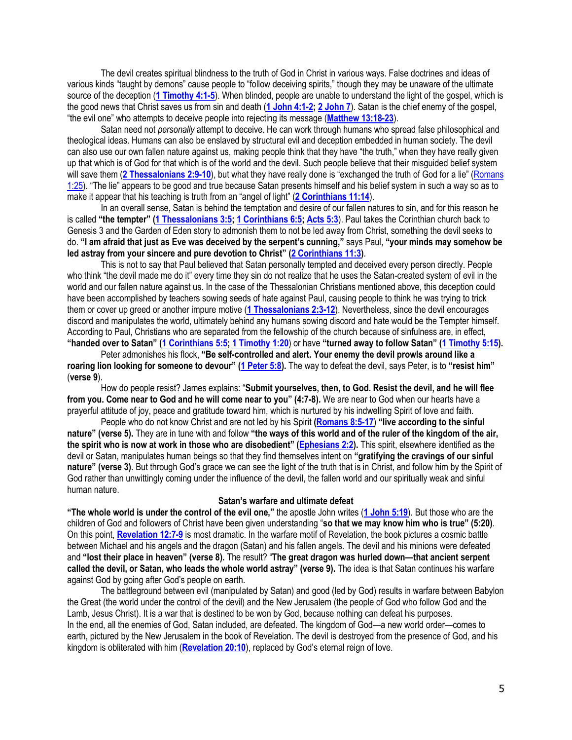The devil creates spiritual blindness to the truth of God in Christ in various ways. False doctrines and ideas of various kinds "taught by demons" cause people to "follow deceiving spirits," though they may be unaware of the ultimate source of the deception (**[1 Timothy 4:1-5](https://biblia.com/bible/niv/1%20Tim%204.1-5)**). When blinded, people are unable to understand the light of the gospel, which is the good news that Christ saves us from sin and death (**[1 John 4:1-2;](https://biblia.com/bible/niv/1%20John%204.1-2) [2 John 7](https://biblia.com/bible/niv/2%20John%207)**). Satan is the chief enemy of the gospel, "the evil one" who attempts to deceive people into rejecting its message (**[Matthew 13:18-23](https://biblia.com/bible/niv/Matt%2013.18-23)**).

Satan need not *personally* attempt to deceive. He can work through humans who spread false philosophical and theological ideas. Humans can also be enslaved by structural evil and deception embedded in human society. The devil can also use our own fallen nature against us, making people think that they have "the truth," when they have really given up that which is of God for that which is of the world and the devil. Such people believe that their misguided belief system will save them (**[2 Thessalonians 2:9-10](https://biblia.com/bible/niv/2%20Thess%202.9-10)**), but what they have really done is "exchanged the truth of God for a lie" ([Romans](https://biblia.com/bible/niv/Rom%201.25)  [1:25](https://biblia.com/bible/niv/Rom%201.25)). "The lie" appears to be good and true because Satan presents himself and his belief system in such a way so as to make it appear that his teaching is truth from an "angel of light" (**[2 Corinthians 11:14](https://biblia.com/bible/niv/2%20Cor%2011.14)**).

In an overall sense, Satan is behind the temptation and desire of our fallen natures to sin, and for this reason he is called **"the tempter" ([1 Thessalonians 3:5;](https://biblia.com/bible/niv/1%20Thess%203.5) [1 Corinthians 6:5;](https://biblia.com/bible/niv/1%20Cor%206.5) [Acts 5:3](https://biblia.com/bible/niv/Acts%205.3)**). Paul takes the Corinthian church back to Genesis 3 and the Garden of Eden story to admonish them to not be led away from Christ, something the devil seeks to do. **"I am afraid that just as Eve was deceived by the serpent's cunning,"** says Paul, **"your minds may somehow be led astray from your sincere and pure devotion to Christ" ([2 Corinthians 11:3\)](https://biblia.com/bible/niv/2%20Cor%2011.3)**.

This is not to say that Paul believed that Satan personally tempted and deceived every person directly. People who think "the devil made me do it" every time they sin do not realize that he uses the Satan-created system of evil in the world and our fallen nature against us. In the case of the Thessalonian Christians mentioned above, this deception could have been accomplished by teachers sowing seeds of hate against Paul, causing people to think he was trying to trick them or cover up greed or another impure motive (**[1 Thessalonians 2:3-12](https://biblia.com/bible/niv/1%20Thess%202.3-12)**). Nevertheless, since the devil encourages discord and manipulates the world, ultimately behind any humans sowing discord and hate would be the Tempter himself. According to Paul, Christians who are separated from the fellowship of the church because of sinfulness are, in effect, **"handed over to Satan" ([1 Corinthians 5:5;](https://biblia.com/bible/niv/1%20Cor%205.5) [1 Timothy 1:20](https://biblia.com/bible/niv/1%20Tim%201.20)**) or have **"turned away to follow Satan" ([1 Timothy 5:15\)](https://biblia.com/bible/niv/1%20Tim%205.15).**

Peter admonishes his flock, **"Be self-controlled and alert. Your enemy the devil prowls around like a roaring lion looking for someone to devour" ([1 Peter 5:8\)](https://biblia.com/bible/niv/1%20Pet%205.8).** The way to defeat the devil, says Peter, is to **"resist him"** (**verse 9**).

How do people resist? James explains: "**Submit yourselves, then, to God. Resist the devil, and he will flee from you. Come near to God and he will come near to you" (4:7-8).** We are near to God when our hearts have a prayerful attitude of joy, peace and gratitude toward him, which is nurtured by his indwelling Spirit of love and faith.

People who do not know Christ and are not led by his Spirit **[\(Romans 8:5-17](https://biblia.com/bible/niv/Rom%208.5-17)**) **"live according to the sinful nature" (verse 5).** They are in tune with and follow **"the ways of this world and of the ruler of the kingdom of the air, the spirit who is now at work in those who are disobedient" ([Ephesians 2:2\)](https://biblia.com/bible/niv/Eph%202.2).** This spirit, elsewhere identified as the devil or Satan, manipulates human beings so that they find themselves intent on **"gratifying the cravings of our sinful nature" (verse 3)**. But through God's grace we can see the light of the truth that is in Christ, and follow him by the Spirit of God rather than unwittingly coming under the influence of the devil, the fallen world and our spiritually weak and sinful human nature.

#### **Satan's warfare and ultimate defeat**

**"The whole world is under the control of the evil one,"** the apostle John writes (**[1 John 5:19](https://biblia.com/bible/niv/1%20John%205.19)**). But those who are the children of God and followers of Christ have been given understanding "**so that we may know him who is true" (5:20)**. On this point, **[Revelation 12:7-9](https://biblia.com/bible/niv/Rev%2012.7-9)** is most dramatic. In the warfare motif of Revelation, the book pictures a cosmic battle between Michael and his angels and the dragon (Satan) and his fallen angels. The devil and his minions were defeated and **"lost their place in heaven" (verse 8).** The result? "**The great dragon was hurled down—that ancient serpent called the devil, or Satan, who leads the whole world astray" (verse 9).** The idea is that Satan continues his warfare against God by going after God's people on earth.

The battleground between evil (manipulated by Satan) and good (led by God) results in warfare between Babylon the Great (the world under the control of the devil) and the New Jerusalem (the people of God who follow God and the Lamb, Jesus Christ). It is a war that is destined to be won by God, because nothing can defeat his purposes. In the end, all the enemies of God, Satan included, are defeated. The kingdom of God—a new world order—comes to earth, pictured by the New Jerusalem in the book of Revelation. The devil is destroyed from the presence of God, and his kingdom is obliterated with him (**[Revelation 20:10](https://biblia.com/bible/niv/Rev%2020.10)**), replaced by God's eternal reign of love.